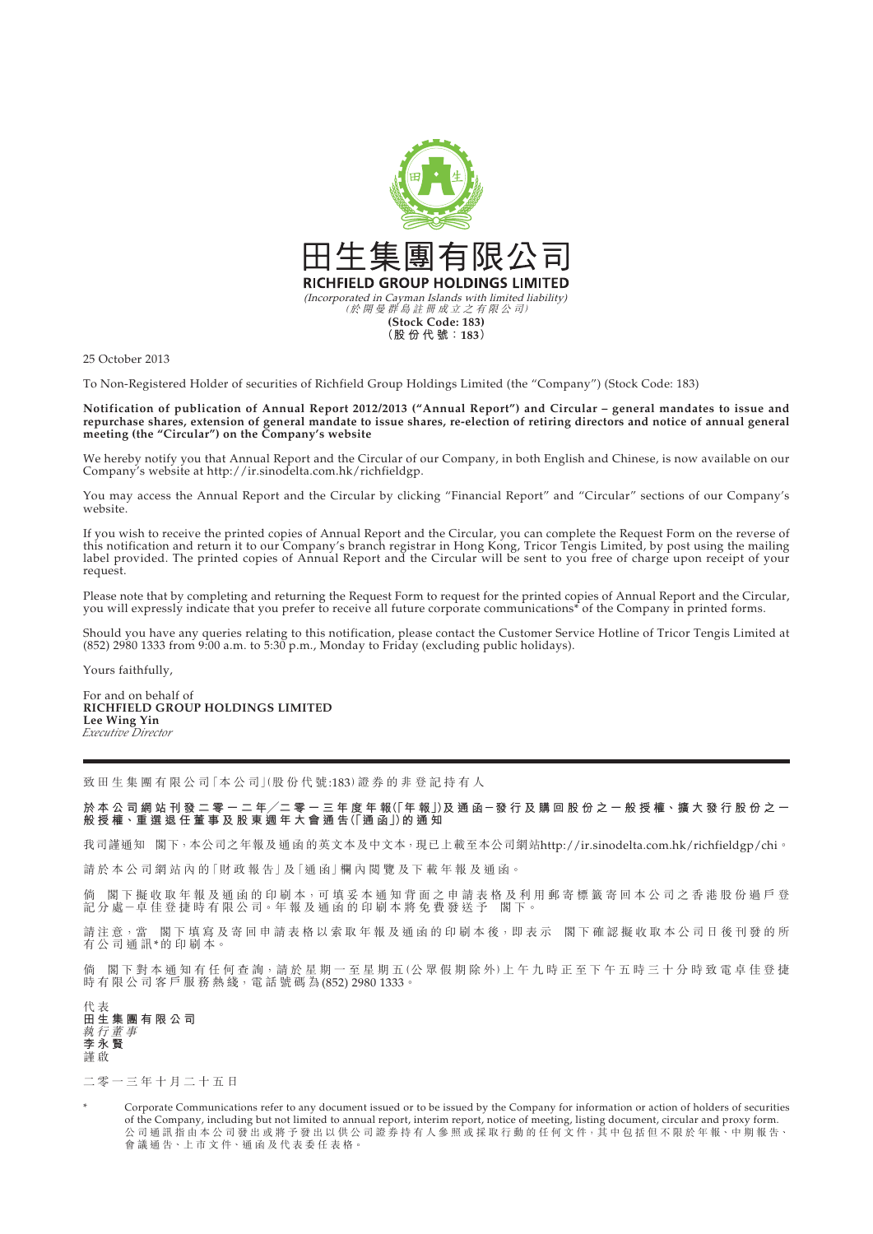

25 October 2013

To Non-Registered Holder of securities of Richfield Group Holdings Limited (the "Company") (Stock Code: 183)

**Notification of publication of Annual Report 2012/2013 ("Annual Report") and Circular – general mandates to issue and repurchase shares, extension of general mandate to issue shares, re-election of retiring directors and notice of annual general meeting (the "Circular") on the Company's website**

We hereby notify you that Annual Report and the Circular of our Company, in both English and Chinese, is now available on our Company's website at http://ir.sinodelta.com.hk/richfieldgp.

You may access the Annual Report and the Circular by clicking "Financial Report" and "Circular" sections of our Company's website.

If you wish to receive the printed copies of Annual Report and the Circular, you can complete the Request Form on the reverse of this notification and return it to our Company's branch registrar in Hong Kong, Tricor Tengis Limited, by post using the mailing label provided. The printed copies of Annual Report and the Circular will be sent to you free of charge upon receipt of your request.

Please note that by completing and returning the Request Form to request for the printed copies of Annual Report and the Circular, you will expressly indicate that you prefer to receive all future corporate communications\* of the Company in printed forms.

Should you have any queries relating to this notification, please contact the Customer Service Hotline of Tricor Tengis Limited at (852) 2980 1333 from 9:00 a.m. to 5:30 p.m., Monday to Friday (excluding public holidays).

Yours faithfully,

For and on behalf of **RICHFIELD GROUP HOLDINGS LIMITED Lee Wing Yin** *Executive Director*

致 田 生 集 團 有 限 公 司「本 公 司 」(股 份 代 號:183) 證 券 的 非 登 記 持 有 人

於 本 公 司 網 站 刊 發 二 零 一 二 年/二 零 一 三 年 度 年 報(l 年 報 J)及 通 函 ─ 發 行 及 購 回 股 份 之 一 般 授 權、擴 大 發 行 股 份 之 一 **般 授 權、重 選 退 任 董 事 及 股 東 週 年 大 會 通 告(「通 函」)的通知**

我司謹通知 閣下,本公司之年報及 通 函 的英文本及中文本,現已上載至本公司網站http://ir.sinodelta.com.hk/richfieldgp/chi。

請於本公司網站內的「財政報告」及「通函」欄內閲覽及下載年報及通函。

倘 閣下擬收取年報及通函的印刷本,可填妥本通知背面之申請表格及利用郵寄標籤寄回本公司之香港股份過戶登 記 分 處-卓 佳 登 捷 時 有 限 公 司。年 報 及 通 函 的 印 刷 本 將 免 費 發 送 予 閣 下。

請注意,當 閣下填寫及寄回申請表格以索取年報及通函的印刷本後,即表示 閣下確認擬收取本公司日後刊發的所 有公司通訊\*的印刷本。

倘 閣下對本通知有任何查詢,請於星期一至星期五(公眾假期除外)上午九時正至下午五時三十分時致電卓佳登捷 時 有 限 公 司 客 戶 服 務 熱 綫, 電 話 號 碼 為 (852) 2980 1333。

代 表 **田生集團有限公司** 執行董事 **李永賢** 謹 啟

二零一三年十月二十五日

Corporate Communications refer to any document issued or to be issued by the Company for information or action of holders of securities of the Company, including but not limited to annual report, interim report, notice of meeting, listing document, circular and proxy form. 公 司 通 計 指 由 本 公 司 發 出 或 將 予 發 出 以 供 公 司 證 券 持 有 人 參 照 或 採 取 行 動 的 任 何 文 件,其 中 包 括 但 不 限 於 年 報、中 期 報 告、 會 議 通 告、上 市 文 件、通 函 及 代 表 委 任 表 格。